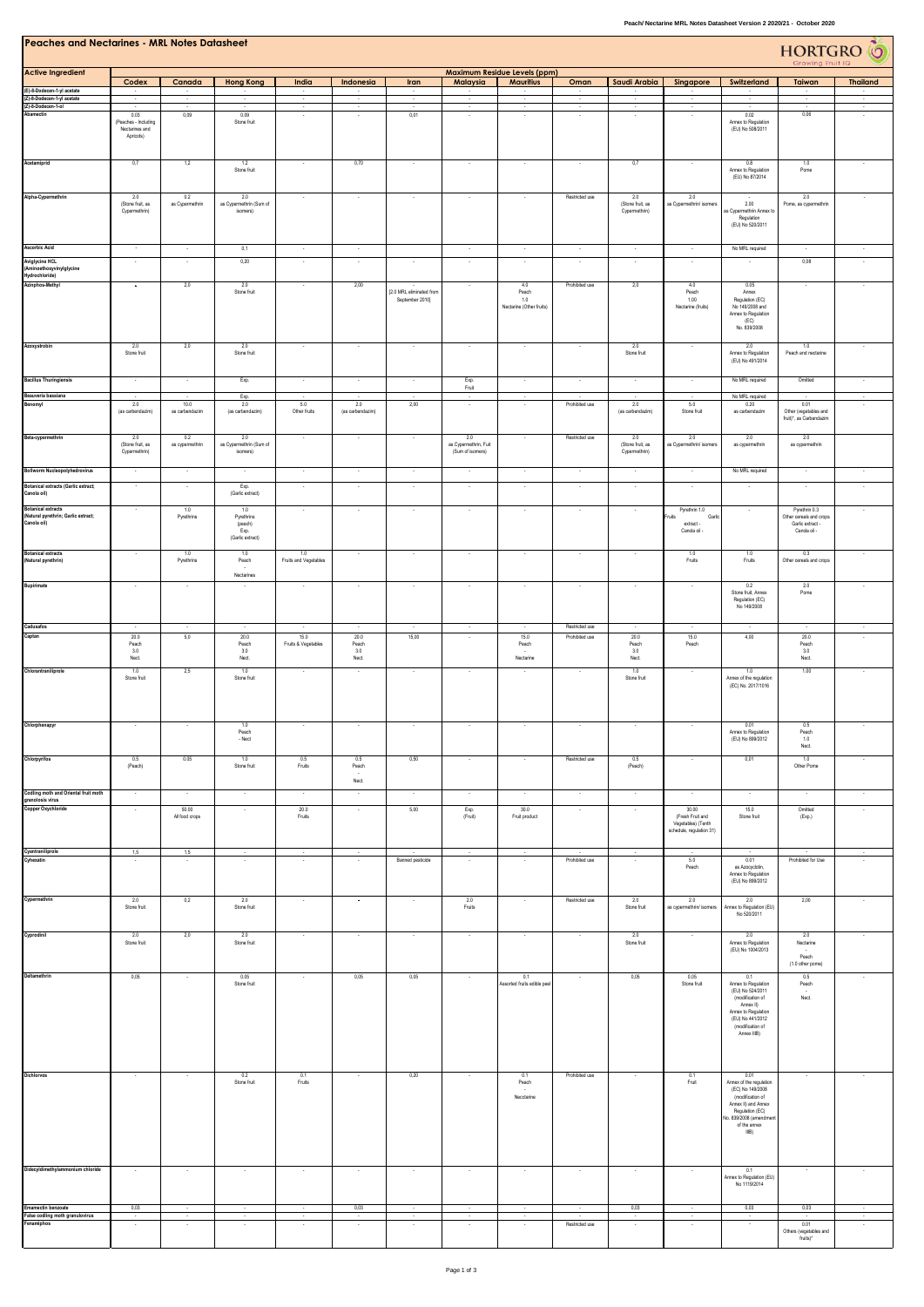| <b>Peaches and Nectarines - MRL Notes Datasheet</b><br>HORTGRO <sup>6</sup><br>Growing Fruit IQ |                                                             |                          |                                            |                              |                            |                                             |                                                  |                                                         |                                  |                                          |                                                                             |                                                                                                                                                                     |                                                          |                          |
|-------------------------------------------------------------------------------------------------|-------------------------------------------------------------|--------------------------|--------------------------------------------|------------------------------|----------------------------|---------------------------------------------|--------------------------------------------------|---------------------------------------------------------|----------------------------------|------------------------------------------|-----------------------------------------------------------------------------|---------------------------------------------------------------------------------------------------------------------------------------------------------------------|----------------------------------------------------------|--------------------------|
| <b>Active Ingredient</b>                                                                        | Codex                                                       | Canada                   | <b>Hong Kong</b>                           | India                        | Indonesia                  | Iran                                        | Malaysia                                         | <b>Maximum Residue Levels (ppm)</b><br><b>Mauritius</b> | Oman                             | Saudi Arabia                             | Singapore                                                                   | Switzerland                                                                                                                                                         | Taiwan                                                   | <b>Thailand</b>          |
| (E)-8-Dodecen-1-yl acetate<br>(Z)-8-Dodecen-1-yl acetate                                        |                                                             |                          |                                            | $\sim$                       |                            | $\sim$                                      | $\sim$                                           | $\sim$                                                  | $\sim$                           |                                          |                                                                             |                                                                                                                                                                     | $\cdot$                                                  |                          |
| (Z)-8-Dodecen-1-ol<br>Abamectin                                                                 | 0.03<br>(Peaches - Including<br>Nectarines and<br>Apricots) | 0,09                     | 0.09<br>Stone fruit                        |                              | $\sim$                     | 0,01                                        | $\sim$                                           | $\epsilon$                                              | $\sim$                           | $\sim$                                   |                                                                             | 0.02<br>Annex to Regulation<br>(EU) No 508/2011                                                                                                                     | 0,06                                                     |                          |
| Acetamiprid                                                                                     | 0,7                                                         | 1,2                      | $1.2\,$<br>Stone fruit                     |                              | 0,70                       |                                             |                                                  |                                                         |                                  | 0,7                                      |                                                                             | $0.8\,$<br>Annex to Regulation<br>(EU) No 87/2014                                                                                                                   | $1.0\,$<br>Pome                                          |                          |
| Alpha-Cypermethrin                                                                              | 2.0<br>(Stone fruit, as<br>Cypermethrin)                    | 0.2<br>as Cypermethrin   | 2.0<br>as Cypermethrin (Sum of<br>isomers) | $\overline{\phantom{a}}$     | $\sim$                     | $\cdot$                                     | $\sim$                                           | $\overline{\phantom{a}}$                                | Restricted use                   | 2.0<br>(Stone fruit, as<br>Cypermethrin) | 2.0<br>as Cypermethrin/ isomers                                             | 2.00<br>as Cypermethrin Annex to<br>Regulation<br>(EU) No 520/2011                                                                                                  | 2.0<br>Pome, as cypermethrin                             |                          |
| <b>Ascorbic Acid</b>                                                                            | $\sim$                                                      | $\sim$                   | 0,1                                        | $\sim$                       | $\sim$                     |                                             | $\sim$                                           | $\sim$                                                  | $\cdot$                          | $\sim$                                   | $\sim$                                                                      | No MRL required                                                                                                                                                     | $\sim$                                                   | $\sim$                   |
| <b>Aviglycine HCL</b><br>(Aminoethoxyvinylglycine<br>Hydrochloride)                             |                                                             | $\cdot$                  | 0,20                                       | $\overline{\phantom{a}}$     | ٠                          | $\ddot{}$                                   | $\cdot$                                          | $\ddot{}$                                               | $\cdot$                          | $\overline{\phantom{a}}$                 | $\sim$                                                                      |                                                                                                                                                                     | 0,08                                                     |                          |
| Azinphos-Methyl                                                                                 | $\overline{\phantom{a}}$                                    | 2,0                      | 2.0<br>Stone fruit                         | $\sim$                       | 2,00                       | [2.0 MRL eliminated from<br>September 2010] | $\bullet$                                        | 4.0<br>Peach<br>1.0<br>Nectarine (Other fruits)         | Prohibited use                   | 2,0                                      | 4.0<br>Peach<br>1.00<br>Nectarine (fruits)                                  | 0.05<br>Annex<br>Regulation (EC)<br>No 149/2008 and<br>Annex to Regulation<br>(EC)<br>No. 839/2008                                                                  | $\sim$                                                   | $\overline{\phantom{a}}$ |
| Azoxystrobin                                                                                    | 2.0<br>Stone fruit                                          | 2,0                      | 2.0<br>Stone fruit                         | $\sim$                       | $\cdot$                    | $\cdot$                                     | $\cdot$                                          | $\cdot$                                                 | $\overline{\phantom{a}}$         | 2.0<br>Stone fruit                       | $\sim$                                                                      | 2.0<br>Annex to Regulation<br>(EU) No 491/2014                                                                                                                      | 1.0<br>Peach and nectarine                               | $\overline{\phantom{a}}$ |
| <b>Bacillus Thuringiensis</b>                                                                   | $\sim$                                                      | $\cdot$                  | Exp.                                       | $\cdot$                      | $\overline{\phantom{a}}$   | $\cdot$                                     | Exp.<br>Fruit                                    | $\cdot$                                                 | $\cdot$                          | $\cdot$                                  | $\cdot$                                                                     | No MRL required                                                                                                                                                     | Omitted                                                  | $\cdot$                  |
| Beauveria bassiana<br>Benomyl                                                                   | 2.0<br>(as carbendazim)                                     | 10.0<br>as carbendazim   | Exp.<br>2.0<br>(as carbendazim)            | 5.0<br>Other fruits          | 2.0<br>(as carbendazim)    | 2,00                                        | $\sim$                                           |                                                         | Prohibited use                   | 2.0<br>(as carbendazim)                  | 5.0<br>Stone fruit                                                          | No MRL required<br>0.20<br>as carbendazim                                                                                                                           | 0.01<br>Other (vegetables and<br>fruit)*, as Carbendazim |                          |
| Beta-cypermethrin                                                                               | 2.0<br>(Stone fruit, as<br>Cypermethrin)                    | 0.2<br>as cypermethrin   | 2.0<br>as Cypermethrin (Sum of<br>isomers) |                              | ÷.                         | ×                                           | 2.0<br>as Cypermethrin, Fuit<br>(Sum of isomers) |                                                         | Restricted use                   | 2.0<br>(Stone fruit, as<br>Cypermethrin) | 2.0<br>as Cypermethrin/ isomers                                             | 2.0<br>as cypermethrin                                                                                                                                              | 2.0<br>as cypermethrin                                   |                          |
| <b>Bollworm Nucleopolyhedrovirus</b><br><b>Botanical extracts (Garlic extract;</b>              |                                                             | $\lambda$                | Exp.                                       | $\sim$                       | $\sim$                     | $\cdot$                                     | $\sim$                                           | $\epsilon$                                              | $\cdot$                          | $\cdot$                                  | $\sim$                                                                      | No MRL required<br>$\sim$                                                                                                                                           | $\sim$                                                   | $\sim$                   |
| Canola oil)<br><b>Botanical extracts</b>                                                        | $\sim$                                                      | 1.0<br>Pyrethrins        | (Garlic extract)<br>1.0<br>Pyrethrins      | $\sim$                       | $\cdot$                    | $\sim$                                      | $\sim$                                           | $\sim$                                                  | $\sim$                           | $\cdot$                                  | Pyrethrin 1.0<br>Fruits<br>Garli                                            | $\sim$                                                                                                                                                              | Pyrethrin 0.3<br>Other cereals and crops                 | $\sim$                   |
| (Natural pyrethrin; Garlic extract;<br>Canola oil)                                              |                                                             |                          | (peach)<br>Exp.<br>(Garlic extract)        |                              |                            |                                             |                                                  |                                                         |                                  |                                          | extract -<br>Canola oil -                                                   |                                                                                                                                                                     | Garlic extract -<br>Canola oil -                         |                          |
| <b>Botanical extracts</b><br>(Natural pyrethrin)                                                |                                                             | 1.0<br>Pyrethrins        | 1.0<br>Peach<br>Nectarines                 | 1.0<br>Fruits and Vegetables |                            | $\sim$                                      | $\sim$                                           | $\sim$                                                  | $\overline{\phantom{a}}$         | ×                                        | 1.0<br>Fruits                                                               | 1.0<br>Fruits                                                                                                                                                       | 0.3<br>Other cereals and crops                           |                          |
| Bupirimate                                                                                      |                                                             | $\overline{\phantom{a}}$ |                                            | ٠                            |                            | $\overline{\phantom{a}}$                    |                                                  |                                                         | $\overline{\phantom{a}}$         |                                          | $\sim$                                                                      | 0.2<br>Stone fruit, Annex<br>Regulation (EC)<br>No 149/2008                                                                                                         | 2.0<br>Pome                                              |                          |
| Cadusafos<br>Captan                                                                             | 20.0                                                        | $\sim$<br>5,0            | $\epsilon$<br>20.0                         | $\cdot$<br>15.0              | $\cdot$<br>20.0            | $\cdot$<br>15,00                            | $\sim$<br>$\cdot$                                | $\lambda$<br>15.0                                       | Restricted use<br>Prohibited use | $\sim$<br>20.0                           | $\cdot$<br>15.0                                                             | $\sim$<br>4,00                                                                                                                                                      | $\sim$<br>20.0                                           | $\sim$<br>$\cdot$        |
| Chlorantraniliprole                                                                             | Peach<br>3.0<br>Nect.<br>1.0                                | 2,5                      | Peach<br>3.0<br>Nect.<br>1.0               | Fruits & Vegetables          | Peach<br>3.0<br>Nect.<br>٠ | $\overline{\phantom{a}}$                    | $\cdot$                                          | Peach<br>Nectarine                                      |                                  | Peach<br>3.0<br>Nect.<br>1.0             | Peach                                                                       | 1.0                                                                                                                                                                 | Peach<br>3.0<br>Nect.<br>1,00                            |                          |
|                                                                                                 | Stone fruit                                                 |                          | Stone fruit                                |                              |                            |                                             |                                                  |                                                         |                                  | Stone fruit                              |                                                                             | Annex of the regulation<br>(EC) No. 2017/1016                                                                                                                       |                                                          |                          |
| Chlorphenapyr                                                                                   |                                                             |                          | 1.0<br>Peach<br>- Nect                     |                              | $\overline{\phantom{a}}$   | $\overline{\phantom{a}}$                    | $\cdot$                                          | $\cdot$                                                 | $\cdot$                          | $\cdot$                                  |                                                                             | 0.01<br>Annex to Regulation<br>(EU) No 899/2012                                                                                                                     | 0.5<br>Peach<br>1.0<br>Nect.                             |                          |
| Chlorpyrifos                                                                                    | 0.5<br>(Peach)                                              | 0.05                     | $1.0\,$<br>Stone fruit                     | 0.5<br>Fruits                | 0.5<br>Peach<br>Nect.      | 0,50                                        |                                                  |                                                         | Restricted use                   | 0.5<br>(Peach)                           |                                                                             | 0,01                                                                                                                                                                | $1.0\,$<br>Other Pome                                    |                          |
| Codling moth and Oriental fruit moth<br>granolosis virus                                        | $\sim$                                                      | $\sim$                   | $\sim$                                     | $\sim$                       | $\sim$                     | $\sim$                                      | $\sim$                                           | $\sim$                                                  | $\sim$                           | $\sim$                                   | $\sim$                                                                      | $\sim$                                                                                                                                                              | $\sim$                                                   |                          |
| <b>Copper Oxychloride</b>                                                                       |                                                             | 50.00<br>All food crops  | $\sim$                                     | 20.0<br>Fruits               | $\sim$                     | 5,00                                        | Exp.<br>(Fruit)                                  | 30.0<br>Fruit product                                   | $\epsilon$                       | $\sim$                                   | 30.00<br>(Fresh Fruit and<br>Vegetables) (Tenth<br>schedule, regulation 31) | 15.0<br>Stone fruit                                                                                                                                                 | Omitted<br>(Exp.)                                        |                          |
| Cyantraniliprole<br>Cyhexatin                                                                   | 1,5<br>$\sim$                                               | 1,5                      | $\sim$                                     | $\sim$                       | $\sim$                     | Banned pesticide                            | $\sim$<br>$\epsilon$                             | $\sim$                                                  | Prohibited use                   | $\sim$<br>$\epsilon$                     | 5.0<br>Peach                                                                | $\sim$<br>0.01<br>as Azocyclotin,<br>Annex to Regulation<br>(EU) No 899/2012                                                                                        | Prohibited for Use                                       |                          |
| Cypermethrin                                                                                    | 2.0<br>Stone fruit                                          | 0,2                      | 2.0<br>Stone fruit                         | $\sim$                       | $\bullet$                  | $\cdot$                                     | 2.0<br>Fruits                                    | $\sim$                                                  | Restricted use                   | 2.0<br>Stone fruit                       | 2.0<br>as cypermethrin/ isomers                                             | 2.0<br>Annex to Regulation (EU)<br>No 520/2011                                                                                                                      | 2,00                                                     |                          |
| Cyprodinil                                                                                      | 2.0<br>Stone fruit                                          | 2,0                      | 2.0<br>Stone fruit                         |                              |                            | $\sim$                                      | $\sim$                                           | ٠                                                       | $\overline{\phantom{a}}$         | 2.0<br>Stone fruit                       |                                                                             | 2.0<br>Annex to Regulation<br>(EU) No 1004/2013                                                                                                                     | 2.0<br>Nectarine<br>Peach<br>(1.0 other pome)            |                          |
| Deltamethrin                                                                                    | 0,05                                                        |                          | 0.05<br>Stone fruit                        | ٠                            | 0,05                       | 0,05                                        | $\sim$                                           | 0.1<br>Assorted fruits edible pee                       | $\overline{\phantom{a}}$         | 0,05                                     | 0.05<br>Stone fruit                                                         | 0.1<br>Annex to Regulation<br>(EU) No 524/2011<br>(modification of<br>Annex II)<br>Annex to Regulation<br>(EU) No 441/2012<br>(modification of<br>Annex IIIB)       | 0.5<br>Peach<br>Nect.                                    |                          |
| Dichlorvos                                                                                      |                                                             |                          | 0.2<br>Stone fruit                         | 0.1<br>Fruits                |                            | 0,20                                        |                                                  | 0.1<br>Peach<br>Necctarine                              | Prohibited use                   |                                          | 0.1<br>Fruit                                                                | 0.01<br>Annex of the regulation<br>(EC) No 149/2008<br>(modification of<br>Annex II) and Annex<br>Regulation (EC)<br>Vo. 839/2008 (amendmer<br>of the annex<br>IIB) |                                                          |                          |
| Didecyldimethylammonium chloride                                                                |                                                             |                          |                                            | $\sim$                       | $\sim$                     | $\cdot$                                     | $\cdot$                                          | $\cdot$                                                 | $\cdot$                          | $\cdot$                                  | $\sim$                                                                      | 0.1<br>Annex to Regulation (EU)<br>No 1119/2014                                                                                                                     | $\overline{\phantom{a}}$                                 |                          |
| <b>Emamectin benzoate</b><br>False codling moth granulovirus                                    | 0,03                                                        |                          |                                            |                              | 0,03                       |                                             |                                                  |                                                         |                                  | 0,03                                     |                                                                             | 0,03                                                                                                                                                                | 0,03                                                     |                          |
| Fenamiphos                                                                                      |                                                             |                          |                                            |                              |                            |                                             |                                                  |                                                         | Restricted use                   | ÷,                                       |                                                                             |                                                                                                                                                                     | 0.01<br>Others (vegetables and<br>fruits)*               |                          |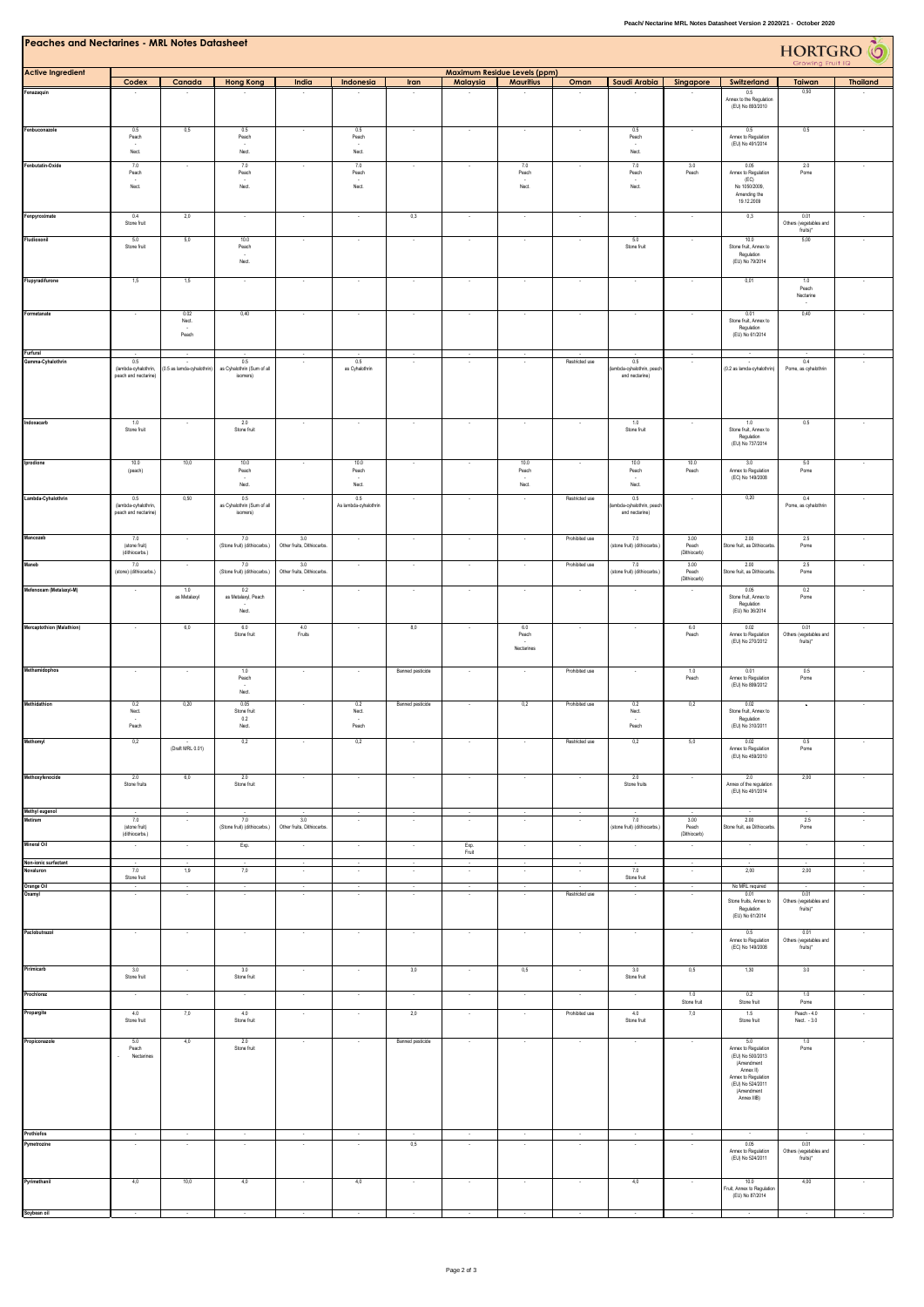| Peaches and Nectarines - MRL Notes Datasheet |  |
|----------------------------------------------|--|
|                                              |  |

| reacnes and Nectarines - MKL Notes Datasheet |                                              |                            |                                        |                                  |                                    |                          |                     |                                                         |                          |                                            |                                |                                                 | HORTGRO O<br>Growing Fruit IQ      |                          |
|----------------------------------------------|----------------------------------------------|----------------------------|----------------------------------------|----------------------------------|------------------------------------|--------------------------|---------------------|---------------------------------------------------------|--------------------------|--------------------------------------------|--------------------------------|-------------------------------------------------|------------------------------------|--------------------------|
| <b>Active Ingredient</b>                     | Codex                                        | Canada                     | <b>Hong Kong</b>                       | India                            | Indonesia                          | Iran                     | Malaysia            | <b>Maximum Residue Levels (ppm)</b><br><b>Mauritius</b> | Oman                     | Saudi Arabia                               | Singapore                      | Switzerland                                     | Taiwan                             | <b>Thailand</b>          |
| Fenazaquin                                   |                                              |                            |                                        |                                  |                                    |                          |                     |                                                         |                          |                                            |                                | $0.5\,$<br>Annex to the Regulation              | 0,50                               |                          |
|                                              |                                              |                            |                                        |                                  |                                    |                          |                     |                                                         |                          |                                            |                                | (EU) No 893/2010                                |                                    |                          |
| Fenbuconazole                                | 0.5<br>Peach                                 | 0,5                        | 0.5<br>Peach                           | ٠                                | 0.5<br>Peach                       | $\overline{\phantom{a}}$ | $\cdot$             | $\cdot$                                                 | $\cdot$                  | 0.5<br>Peach                               | $\cdot$                        | 0.5<br>Annex to Regulation                      | 0.5                                | $\cdot$                  |
|                                              | Nect.                                        |                            | Nect.                                  |                                  | Nect.                              |                          |                     |                                                         |                          | Nect.                                      |                                | (EU) No 491/2014                                |                                    |                          |
| Fenbutatin-Oxide                             | 7.0<br>Peach                                 |                            | 7.0<br>Peach                           |                                  | 7.0<br>Peach                       |                          |                     | 7.0<br>Peach                                            |                          | 7.0<br>Peach                               | 3.0<br>Peach                   | 0.05<br>Annex to Regulation                     | 2.0<br>Pome                        |                          |
|                                              | Nect.                                        |                            | Nect.                                  |                                  | Nect.                              |                          |                     | Nect.                                                   |                          | Nect.                                      |                                | (EC)<br>No 1050/2009.                           |                                    |                          |
|                                              |                                              |                            |                                        |                                  |                                    |                          |                     |                                                         |                          |                                            |                                | Amending the<br>19.12.2009                      |                                    |                          |
| Fenpyroximate                                | 0.4                                          | 2,0                        | $\sim$                                 | $\sim$                           | $\cdot$                            | 0,3                      | $\epsilon$          | $\epsilon$                                              | $\cdot$                  | $\ddot{\phantom{a}}$                       | $\ddot{\phantom{a}}$           | 0,3                                             | 0.01                               | $\sim$                   |
|                                              | Stone fruit                                  |                            |                                        |                                  |                                    |                          |                     |                                                         |                          |                                            |                                |                                                 | Others (vegetables and<br>fruits)* |                          |
| Fludioxonil                                  | 5.0<br>Stone fruit                           | 5,0                        | 10.0<br>Peach                          | ×                                |                                    | $\sim$                   | $\sim$              | $\sim$                                                  | $\overline{\phantom{a}}$ | 5.0<br>Stone fruit                         | $\sim$                         | 10.0<br>Stone fruit, Annex to                   | 5,00                               | $\sim$                   |
|                                              |                                              |                            | Nect.                                  |                                  |                                    |                          |                     |                                                         |                          |                                            |                                | Regulation<br>(EU) No 79/2014                   |                                    |                          |
| Flupyradifurone                              | 1,5                                          | 1,5                        |                                        |                                  |                                    | $\cdot$                  | ÷                   |                                                         |                          | $\cdot$                                    | $\sim$                         | 0,01                                            | 1.0<br>Peach                       |                          |
|                                              |                                              |                            |                                        |                                  |                                    |                          |                     |                                                         |                          |                                            |                                |                                                 | Nectarine                          |                          |
| Formetanate                                  |                                              | 0.02<br>Nect.              | 0,40                                   |                                  |                                    | ÷,                       |                     |                                                         |                          | ÷,                                         | $\epsilon$                     | 0.01<br>Stone fruit, Annex to                   | 0,40                               |                          |
|                                              |                                              | Peach                      |                                        |                                  |                                    |                          |                     |                                                         |                          |                                            |                                | Regulation<br>(EU) No 61/2014                   |                                    |                          |
| Furfural                                     |                                              |                            |                                        |                                  |                                    |                          |                     |                                                         |                          |                                            |                                |                                                 |                                    |                          |
| Gamma-Cyhalothrin                            | 0.5<br>(lambda-cyhalothrin,                  | (0.5 as lamda-cyhalothrin) | $0.5\,$<br>as Cyhalothrin (Sum of all  |                                  | $0.5\,$<br>as Cyhalothrin          |                          |                     |                                                         | Restricted use           | 0.5<br>ambda-cyhalothrin, peacl            |                                | (0.2 as lamda-cyhalothrin)                      | 0.4<br>Pome, as cyhalothrin        |                          |
|                                              | peach and nectarine)                         |                            | isomers)                               |                                  |                                    |                          |                     |                                                         |                          | and nectarine)                             |                                |                                                 |                                    |                          |
|                                              |                                              |                            |                                        |                                  |                                    |                          |                     |                                                         |                          |                                            |                                |                                                 |                                    |                          |
| Indoxacarb                                   |                                              |                            |                                        |                                  |                                    |                          |                     |                                                         |                          |                                            |                                |                                                 |                                    |                          |
|                                              | 1.0<br>Stone fruit                           |                            | 2.0<br>Stone fruit                     |                                  |                                    |                          |                     |                                                         |                          | 1.0<br>Stone fruit                         |                                | 1.0<br>Stone fruit, Annex to<br>Regulation      | 0.5                                |                          |
|                                              |                                              |                            |                                        |                                  |                                    |                          |                     |                                                         |                          |                                            |                                | (EU) No 737/2014                                |                                    |                          |
| Iprodione                                    | 10.0<br>(peach)                              | 10,0                       | 10.0<br>Peach                          |                                  | 10.0<br>Peach                      | $\cdot$                  | ٠                   | 10.0<br>Peach                                           |                          | 10.0<br>Peach                              | 10.0<br>Peach                  | 3.0<br>Annex to Regulation                      | 5.0<br>Pome                        |                          |
|                                              |                                              |                            | Nect.                                  |                                  | Nect.                              |                          |                     | Nect.                                                   |                          | Nect.                                      |                                | (EC) No 149/2008                                |                                    |                          |
| Lambda-Cyhalothrin                           | 0.5                                          | 0,50                       | 0.5                                    | $\sim$                           | 0.5                                | $\cdot$                  | $\cdot$             | $\overline{\phantom{a}}$                                | Restricted use           | 0.5                                        | $\cdot$                        | 0,20                                            | 0.4                                | $\cdot$                  |
|                                              | (lambda-cyhalothrin,<br>peach and nectarine) |                            | as Cyhalothrin (Sum of all<br>isomers) |                                  | As lambda-cyhalothrin              |                          |                     |                                                         |                          | ambda-cyhalothrin, peach<br>and nectarine) |                                |                                                 | Pome, as cyhalothrin               |                          |
|                                              |                                              |                            |                                        |                                  |                                    |                          |                     |                                                         |                          |                                            |                                | 2.00                                            |                                    |                          |
| Mancozeb                                     | 7.0<br>(stone fruit)<br>(dithiocarbs.)       |                            | 7.0<br>(Stone fruit) (dithiocarbs.)    | 3.0<br>Other fruits, Dithiocarbs |                                    | $\sim$                   | ÷.                  |                                                         | Prohibited use           | 7.0<br>stone fruit) (dithiocarbs.)         | 3.00<br>Peach<br>(Diffriocarb) | Stone fruit, as Dithiocarb                      | 2.5<br>Pome                        |                          |
| Maneb                                        | 7.0                                          |                            | 7.0                                    | 3.0                              |                                    | ÷,                       |                     |                                                         | Prohibited use           | 7.0                                        | 3.00                           | 2.00                                            | 2.5                                |                          |
|                                              | (stone) (dithiocarbs.)                       |                            | (Stone fruit) (dithiocarbs.)           | Other fruits, Dithiocarbs        |                                    |                          |                     |                                                         |                          | stone fruit) (dithiocarbs.)                | Pearh<br>(Dithiocarb)          | Stone fruit, as Dithiocarbs                     | Pome                               |                          |
| Mefenoxam (Metalaxyl-M)                      |                                              | 1.0<br>as Metalaxyl        | 0.2<br>as Metalaxyl, Peach             |                                  | $\sim$                             | $\sim$                   | $\sim$              | $\sim$                                                  | $\sim$                   |                                            |                                | 0.05<br>Stone fruit, Annex to                   | 0.2<br>Pome                        |                          |
|                                              |                                              |                            | Nect.                                  |                                  |                                    |                          |                     |                                                         |                          |                                            |                                | Regulation<br>(EU) No 36/2014                   |                                    |                          |
| Mercaptothion (Malathion)                    |                                              | 6,0                        | 6.0<br>Stone fruit                     | 4.0<br>Fruits                    |                                    | 8,0                      |                     | 6.0<br>Peach                                            |                          |                                            | 6.0<br>Peach                   | 0.02<br>Annex to Regulation                     | 0.01<br>Others (vegetables and     |                          |
|                                              |                                              |                            |                                        |                                  |                                    |                          |                     | Nectarines                                              |                          |                                            |                                | (EU) No 270/2012                                | fruits)*                           |                          |
| Methamidophos                                |                                              |                            |                                        |                                  |                                    |                          |                     |                                                         |                          |                                            |                                |                                                 |                                    |                          |
|                                              | $\sim$                                       |                            | 1.0<br>Peach                           | $\sim$                           |                                    | Banned pesticide         | $\sim$              | $\overline{\phantom{a}}$                                | Prohibited use           |                                            | 1.0<br>Peach                   | 0.01<br>Annex to Regulation<br>(EU) No 899/2012 | 0.5<br>Pome                        | $\overline{\phantom{a}}$ |
| Methidathion                                 |                                              |                            | Nect.                                  |                                  |                                    |                          |                     |                                                         |                          |                                            |                                |                                                 |                                    |                          |
|                                              | 0.2<br>Nect.                                 | 0,20                       | 0.05<br>Stone fruit<br>$0.2\,$         |                                  | 0.2<br>Nect.                       | Banned pesticide         |                     | 0,2                                                     | Prohibited use           | 0.2<br>Nect.                               | 0,2                            | 0.02<br>Stone fruit, Annex to<br>Regulation     | $\cdot$                            |                          |
|                                              | Peach                                        |                            | Nect.                                  |                                  | Peach                              |                          |                     |                                                         |                          | Peach                                      |                                | (EU) No 310/2011                                |                                    |                          |
| Methomyl                                     | 0,2                                          | (Draft MRL 0.01)           | 0,2                                    |                                  | 0,2                                |                          |                     |                                                         | Restricted use           | 0,2                                        | 5,0                            | 0.02<br>Annex to Regulation                     | 0.5<br>Pome                        |                          |
|                                              |                                              |                            |                                        |                                  |                                    |                          |                     |                                                         |                          |                                            |                                | (EU) No 459/2010                                |                                    |                          |
| Methoxyfenocide                              | 2.0<br>Stone fruits                          | 6,0                        | 2.0<br>Stone fruit                     | $\cdot$                          | $\sim$                             | $\sim$                   | $\sim$              | $\sim$                                                  | $\cdot$                  | 2.0<br>Stone fruits                        | $\cdot$                        | 2.0<br>Annex of the regulation                  | 2,00                               | $\sim$                   |
|                                              |                                              |                            |                                        |                                  |                                    |                          |                     |                                                         |                          |                                            |                                | (EU) No 491/2014                                |                                    |                          |
| Methyl eugenol<br>Metiram                    | 7.0                                          | $\sim$                     | 7.0                                    | 3.0                              | $\cdot$<br>$\sim$                  | $\sim$<br>$\sim$         | $\sim$<br>$\sim$    | $\sim$<br>$\sim$                                        | $\cdot$<br>$\sim$        | 7.0                                        | 3.00                           | 2.00                                            | 2.5                                | $\bullet$<br>$\sim$      |
|                                              | (stone fruit)<br>(dithiocarbs.)              |                            | (Stone fruit) (dithiocarbs.)           | Other fruits, Dithiocarbs.       |                                    |                          |                     |                                                         |                          | (stone fruit) (dithiocarbs.)               | Peach<br>(Dithiocarb)          | Stone fruit, as Dithiocarbs                     | Pome                               |                          |
| Mineral Oil                                  | $\sim$                                       | $\sim$                     | Exp.                                   | $\cdot$                          | $\cdot$                            | $\cdot$                  | Exp.<br>Fruit       | $\epsilon$                                              | $\sim$                   | $\sim$                                     | $\sim$                         |                                                 | $\cdot$                            | $\sim$                   |
| Non-ionic surfactant<br>Novaluron            | $\sim$<br>7.0                                | $\sim$<br>1,9              | $\sim$<br>7,0                          | $\sim$<br>$\cdot$                | $\sim$<br>$\overline{\phantom{a}}$ | $\sim$<br>$\cdot$        | $\sim$<br>$\lambda$ | $\sim$<br>$\cdot$                                       | $\sim$<br>$\cdot$        | $\sim$<br>7.0                              | $\sim$<br>$\cdot$              | 2,00                                            | $\sim$<br>2,00                     | $\sim$<br>$\sim$         |
|                                              | Stone fruit                                  |                            |                                        | $\sim$                           | $\cdot$                            | $\sim$                   | $\sim$              | $\epsilon$                                              |                          | Stone fruit                                | $\cdot$                        | No MRL required                                 |                                    | $\sim$                   |
| Orange Oil<br>Oxamyl                         | $\sim$                                       | $\sim$                     | $\sim$                                 | $\sim$                           | $\sim$                             | $\sim$                   | $\sim$              | $\sim$                                                  | Restricted use           | $\sim$                                     | $\sim$                         | 0.01<br>Stone fruits, Annex to                  | 0.01<br>Others (vegetables and     | $\sim$                   |
|                                              |                                              |                            |                                        |                                  |                                    |                          |                     |                                                         |                          |                                            |                                | Regulation<br>(EU) No 61/2014                   | fruits)*                           |                          |
| Paclobutrazol                                | $\sim$                                       | $\sim$                     | $\sim$                                 | $\sim$                           | $\sim$                             | $\epsilon$               | $\sim$              | $\sim$                                                  | $\sim$                   | $\sim$                                     | $\sim$                         | 0.5                                             | 0.01                               | $\sim$                   |
|                                              |                                              |                            |                                        |                                  |                                    |                          |                     |                                                         |                          |                                            |                                | Annex to Regulation<br>(EC) No 149/2008         | Others (vegetables and<br>fruits)* |                          |
| Pirimicarb                                   | 3.0                                          | $\sim$                     | 3.0                                    | $\sim$                           | $\sim$                             | 3,0                      | $\sim$              | 0,5                                                     | $\sim$                   | 3.0                                        | 0,5                            | 1,30                                            | 3.0                                | $\sim$                   |
|                                              | Stone fruit                                  |                            | Stone fruit                            |                                  |                                    |                          |                     |                                                         |                          | Stone fruit                                |                                |                                                 |                                    |                          |
| Prochloraz                                   | $\sim$                                       | $\sim$                     | $\sim$                                 | $\sim$                           | $\sim$                             | $\sim$                   | $\sim$              | $\sim$                                                  | $\sim$                   | $\sim$                                     | 1.0<br>Stone fruit             | 0.2<br>Stone fruit                              | 1.0<br>Pome                        | $\sim$                   |
| Propargite                                   | 4.0<br>Stone fruit                           | 7,0                        | 4.0<br>Stone fruit                     | $\sim$                           | $\sim$                             | 2,0                      | $\sim$              | $\sim$                                                  | Prohibited use           | 4.0<br>Stone fruit                         | 7,0                            | 1.5<br>Stone fruit                              | Peach - 4.0<br>Nect. - 3.0         | $\sim$                   |
|                                              |                                              |                            |                                        |                                  |                                    |                          |                     |                                                         |                          |                                            |                                |                                                 |                                    |                          |
| Propiconazole                                | 5.0<br>Peach                                 | 4,0                        | 2.0<br>Stone fruit                     | $\sim$                           | $\sim$                             | Banned pesticide         | $\sim$              | ×                                                       | $\sim$                   | $\epsilon$                                 | $\sim$                         | 5.0<br>Annex to Regulation                      | 1.0<br>Pome                        | $\alpha$                 |
|                                              | Nectarines                                   |                            |                                        |                                  |                                    |                          |                     |                                                         |                          |                                            |                                | (EU) No 500/2013<br>(Amendment<br>Annex II)     |                                    |                          |
|                                              |                                              |                            |                                        |                                  |                                    |                          |                     |                                                         |                          |                                            |                                | Annex to Regulation<br>(EU) No 524/2011         |                                    |                          |
|                                              |                                              |                            |                                        |                                  |                                    |                          |                     |                                                         |                          |                                            |                                | (Amendment<br>Annex IIIB)                       |                                    |                          |
|                                              |                                              |                            |                                        |                                  |                                    |                          |                     |                                                         |                          |                                            |                                |                                                 |                                    |                          |
| Prothiofos                                   | $\sim$                                       | ×                          | $\lambda$                              | $\sim$                           | $\sim$                             | $\sim$                   | $\sim$              | $\epsilon$                                              | $\epsilon$               | $\epsilon$                                 | $\cdot$                        | $\sim$                                          | $\sim$                             | ×.                       |
| Pymetrozine                                  | $\sim$                                       | $\sim$                     |                                        | $\sim$                           | $\sim$                             | 0,5                      | $\sim$              | $\epsilon$                                              | $\sim$                   | $\sim$                                     | $\sim$                         | 0.05<br>Annex to Regulation                     | 0.01<br>Others (vegetables and     | $\alpha$                 |
|                                              |                                              |                            |                                        |                                  |                                    |                          |                     |                                                         |                          |                                            |                                | (EU) No 524/2011                                | fruits)*                           |                          |
| Pyrimethanil                                 | 4,0                                          | 10,0                       | 4,0                                    |                                  | 4,0                                |                          |                     |                                                         |                          | 4,0                                        |                                | 10.0                                            | 4,00                               |                          |
|                                              |                                              |                            |                                        |                                  |                                    |                          |                     |                                                         |                          |                                            |                                | Fruit, Annex to Regulation<br>(EU) No 87/2014   |                                    |                          |

**Soybean oil** - - - - - - - - - - - - - -